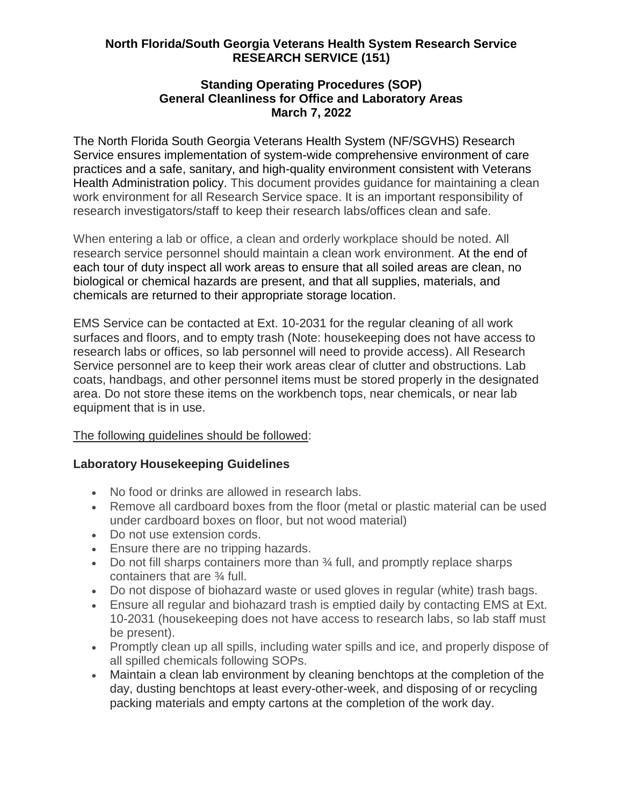## **North Florida/South Georgia Veterans Health System Research Service RESEARCH SERVICE (151)**

### **Standing Operating Procedures (SOP) General Cleanliness for Office and Laboratory Areas March 7, 2022**

The North Florida South Georgia Veterans Health System (NF/SGVHS) Research Service ensures implementation of system-wide comprehensive environment of care practices and a safe, sanitary, and high-quality environment consistent with Veterans Health Administration policy. This document provides guidance for maintaining a clean work environment for all Research Service space. It is an important responsibility of research investigators/staff to keep their research labs/offices clean and safe.

When entering a lab or office, a clean and orderly workplace should be noted. All research service personnel should maintain a clean work environment. At the end of each tour of duty inspect all work areas to ensure that all soiled areas are clean, no biological or chemical hazards are present, and that all supplies, materials, and chemicals are returned to their appropriate storage location.

EMS Service can be contacted at Ext. 10-2031 for the regular cleaning of all work surfaces and floors, and to empty trash (Note: housekeeping does not have access to research labs or offices, so lab personnel will need to provide access). All Research Service personnel are to keep their work areas clear of clutter and obstructions. Lab coats, handbags, and other personnel items must be stored properly in the designated area. Do not store these items on the workbench tops, near chemicals, or near lab equipment that is in use.

### The following guidelines should be followed:

# **Laboratory Housekeeping Guidelines**

- No food or drinks are allowed in research labs.
- Remove all cardboard boxes from the floor (metal or plastic material can be used under cardboard boxes on floor, but not wood material)
- Do not use extension cords.
- **Ensure there are no tripping hazards.**
- Do not fill sharps containers more than 34 full, and promptly replace sharps containers that are ¾ full.
- Do not dispose of biohazard waste or used gloves in regular (white) trash bags.
- Ensure all regular and biohazard trash is emptied daily by contacting EMS at Ext. 10-2031 (housekeeping does not have access to research labs, so lab staff must be present).
- Promptly clean up all spills, including water spills and ice, and properly dispose of all spilled chemicals following SOPs.
- Maintain a clean lab environment by cleaning benchtops at the completion of the day, dusting benchtops at least every-other-week, and disposing of or recycling packing materials and empty cartons at the completion of the work day.